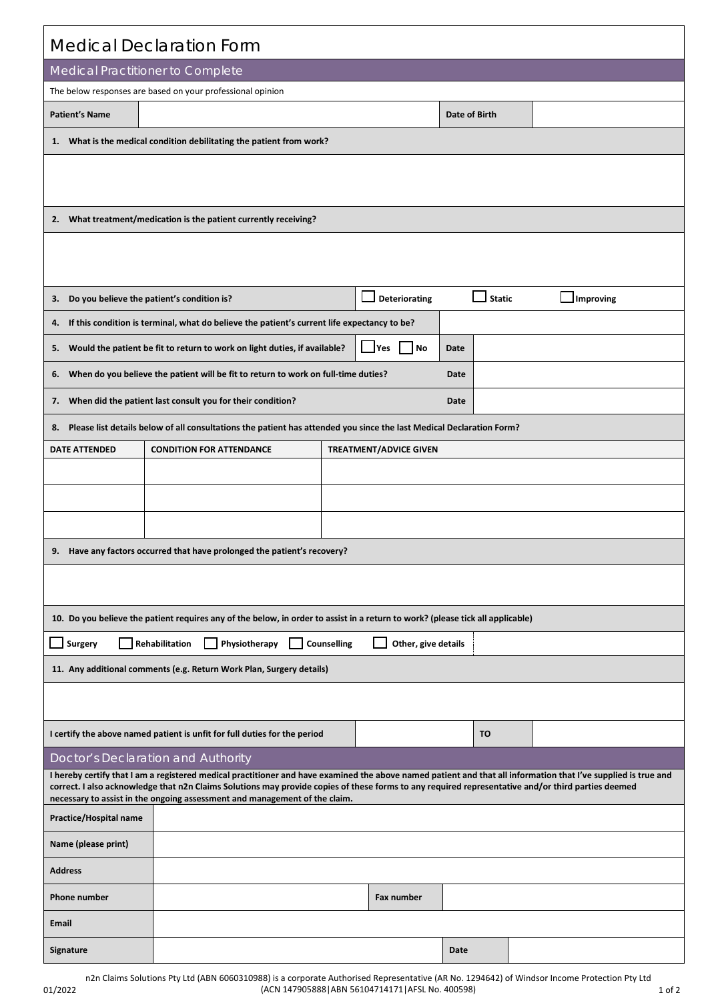| <b>Medical Declaration Form</b>                                                                                                                                                                                                                                                                                                                                                                    |                                                                                                                                |                               |      |               |           |  |  |  |  |  |  |
|----------------------------------------------------------------------------------------------------------------------------------------------------------------------------------------------------------------------------------------------------------------------------------------------------------------------------------------------------------------------------------------------------|--------------------------------------------------------------------------------------------------------------------------------|-------------------------------|------|---------------|-----------|--|--|--|--|--|--|
| Medical Practitioner to Complete                                                                                                                                                                                                                                                                                                                                                                   |                                                                                                                                |                               |      |               |           |  |  |  |  |  |  |
| The below responses are based on your professional opinion                                                                                                                                                                                                                                                                                                                                         |                                                                                                                                |                               |      |               |           |  |  |  |  |  |  |
| <b>Patient's Name</b>                                                                                                                                                                                                                                                                                                                                                                              |                                                                                                                                |                               |      | Date of Birth |           |  |  |  |  |  |  |
|                                                                                                                                                                                                                                                                                                                                                                                                    | 1. What is the medical condition debilitating the patient from work?                                                           |                               |      |               |           |  |  |  |  |  |  |
|                                                                                                                                                                                                                                                                                                                                                                                                    |                                                                                                                                |                               |      |               |           |  |  |  |  |  |  |
| 2. What treatment/medication is the patient currently receiving?                                                                                                                                                                                                                                                                                                                                   |                                                                                                                                |                               |      |               |           |  |  |  |  |  |  |
|                                                                                                                                                                                                                                                                                                                                                                                                    |                                                                                                                                |                               |      |               |           |  |  |  |  |  |  |
| 3. Do you believe the patient's condition is?                                                                                                                                                                                                                                                                                                                                                      |                                                                                                                                | <b>Deteriorating</b>          |      | <b>Static</b> | Improving |  |  |  |  |  |  |
| 4.                                                                                                                                                                                                                                                                                                                                                                                                 | If this condition is terminal, what do believe the patient's current life expectancy to be?                                    |                               |      |               |           |  |  |  |  |  |  |
| 5.                                                                                                                                                                                                                                                                                                                                                                                                 | Would the patient be fit to return to work on light duties, if available?                                                      | Yes<br>$\vert$ $\vert$ No     | Date |               |           |  |  |  |  |  |  |
| 6. When do you believe the patient will be fit to return to work on full-time duties?<br>Date                                                                                                                                                                                                                                                                                                      |                                                                                                                                |                               |      |               |           |  |  |  |  |  |  |
| 7. When did the patient last consult you for their condition?<br>Date                                                                                                                                                                                                                                                                                                                              |                                                                                                                                |                               |      |               |           |  |  |  |  |  |  |
| Please list details below of all consultations the patient has attended you since the last Medical Declaration Form?<br>8.                                                                                                                                                                                                                                                                         |                                                                                                                                |                               |      |               |           |  |  |  |  |  |  |
| <b>DATE ATTENDED</b>                                                                                                                                                                                                                                                                                                                                                                               | <b>CONDITION FOR ATTENDANCE</b>                                                                                                | <b>TREATMENT/ADVICE GIVEN</b> |      |               |           |  |  |  |  |  |  |
|                                                                                                                                                                                                                                                                                                                                                                                                    |                                                                                                                                |                               |      |               |           |  |  |  |  |  |  |
|                                                                                                                                                                                                                                                                                                                                                                                                    |                                                                                                                                |                               |      |               |           |  |  |  |  |  |  |
|                                                                                                                                                                                                                                                                                                                                                                                                    |                                                                                                                                |                               |      |               |           |  |  |  |  |  |  |
| Have any factors occurred that have prolonged the patient's recovery?<br>9.                                                                                                                                                                                                                                                                                                                        |                                                                                                                                |                               |      |               |           |  |  |  |  |  |  |
|                                                                                                                                                                                                                                                                                                                                                                                                    |                                                                                                                                |                               |      |               |           |  |  |  |  |  |  |
|                                                                                                                                                                                                                                                                                                                                                                                                    | 10. Do you believe the patient requires any of the below, in order to assist in a return to work? (please tick all applicable) |                               |      |               |           |  |  |  |  |  |  |
| Surgery<br>Rehabilitation<br>Physiotherapy<br>Counselling<br>Other, give details                                                                                                                                                                                                                                                                                                                   |                                                                                                                                |                               |      |               |           |  |  |  |  |  |  |
| 11. Any additional comments (e.g. Return Work Plan, Surgery details)                                                                                                                                                                                                                                                                                                                               |                                                                                                                                |                               |      |               |           |  |  |  |  |  |  |
|                                                                                                                                                                                                                                                                                                                                                                                                    |                                                                                                                                |                               |      |               |           |  |  |  |  |  |  |
|                                                                                                                                                                                                                                                                                                                                                                                                    | I certify the above named patient is unfit for full duties for the period                                                      |                               |      | <b>TO</b>     |           |  |  |  |  |  |  |
| Doctor's Declaration and Authority                                                                                                                                                                                                                                                                                                                                                                 |                                                                                                                                |                               |      |               |           |  |  |  |  |  |  |
| I hereby certify that I am a registered medical practitioner and have examined the above named patient and that all information that I've supplied is true and<br>correct. I also acknowledge that n2n Claims Solutions may provide copies of these forms to any required representative and/or third parties deemed<br>necessary to assist in the ongoing assessment and management of the claim. |                                                                                                                                |                               |      |               |           |  |  |  |  |  |  |
| Practice/Hospital name                                                                                                                                                                                                                                                                                                                                                                             |                                                                                                                                |                               |      |               |           |  |  |  |  |  |  |
| Name (please print)                                                                                                                                                                                                                                                                                                                                                                                |                                                                                                                                |                               |      |               |           |  |  |  |  |  |  |
| <b>Address</b>                                                                                                                                                                                                                                                                                                                                                                                     |                                                                                                                                |                               |      |               |           |  |  |  |  |  |  |
| Phone number                                                                                                                                                                                                                                                                                                                                                                                       |                                                                                                                                | Fax number                    |      |               |           |  |  |  |  |  |  |
| Email                                                                                                                                                                                                                                                                                                                                                                                              |                                                                                                                                |                               |      |               |           |  |  |  |  |  |  |
| Signature                                                                                                                                                                                                                                                                                                                                                                                          |                                                                                                                                |                               | Date |               |           |  |  |  |  |  |  |